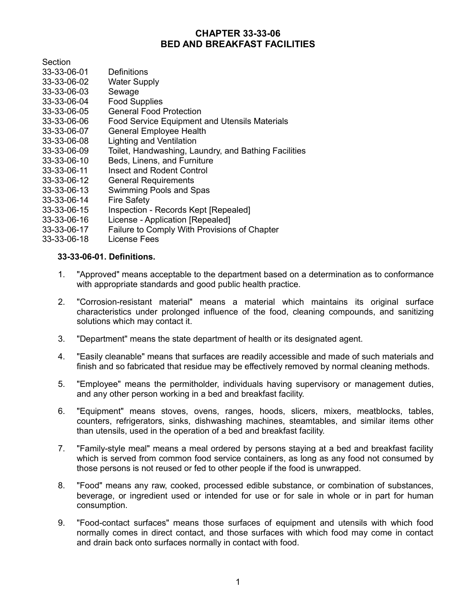# **CHAPTER 33-33-06 BED AND BREAKFAST FACILITIES**

Section

- 33-33-06-01 Definitions
- Water Supply
- 33-33-06-03 Sewage
- 33-33-06-04 Food Supplies
- 33-33-06-05 General Food Protection
- 33-33-06-06 Food Service Equipment and Utensils Materials
- 33-33-06-07 General Employee Health
- 33-33-06-08 Lighting and Ventilation
- 33-33-06-09 Toilet, Handwashing, Laundry, and Bathing Facilities
- 33-33-06-10 Beds, Linens, and Furniture
- 33-33-06-11 Insect and Rodent Control<br>33-33-06-12 General Requirements
- **General Requirements**
- 33-33-06-13 Swimming Pools and Spas
- 33-33-06-14 Fire Safety
- 33-33-06-15 Inspection Records Kept [Repealed]
- 33-33-06-16 License Application [Repealed]
- 33-33-06-17 Failure to Comply With Provisions of Chapter
- 33-33-06-18 License Fees

### **33-33-06-01. Definitions.**

- 1. "Approved" means acceptable to the department based on a determination as to conformance with appropriate standards and good public health practice.
- 2. "Corrosion-resistant material" means a material which maintains its original surface characteristics under prolonged influence of the food, cleaning compounds, and sanitizing solutions which may contact it.
- 3. "Department" means the state department of health or its designated agent.
- 4. "Easily cleanable" means that surfaces are readily accessible and made of such materials and finish and so fabricated that residue may be effectively removed by normal cleaning methods.
- 5. "Employee" means the permitholder, individuals having supervisory or management duties, and any other person working in a bed and breakfast facility.
- 6. "Equipment" means stoves, ovens, ranges, hoods, slicers, mixers, meatblocks, tables, counters, refrigerators, sinks, dishwashing machines, steamtables, and similar items other than utensils, used in the operation of a bed and breakfast facility.
- 7. "Family-style meal" means a meal ordered by persons staying at a bed and breakfast facility which is served from common food service containers, as long as any food not consumed by those persons is not reused or fed to other people if the food is unwrapped.
- 8. "Food" means any raw, cooked, processed edible substance, or combination of substances, beverage, or ingredient used or intended for use or for sale in whole or in part for human consumption.
- 9. "Food-contact surfaces" means those surfaces of equipment and utensils with which food normally comes in direct contact, and those surfaces with which food may come in contact and drain back onto surfaces normally in contact with food.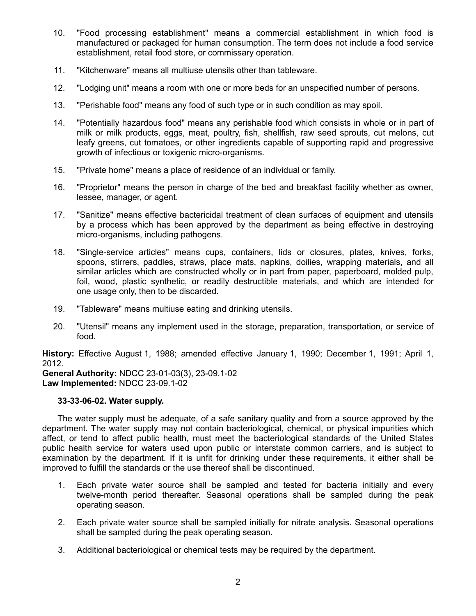- 10. "Food processing establishment" means a commercial establishment in which food is manufactured or packaged for human consumption. The term does not include a food service establishment, retail food store, or commissary operation.
- 11. "Kitchenware" means all multiuse utensils other than tableware.
- 12. "Lodging unit" means a room with one or more beds for an unspecified number of persons.
- 13. "Perishable food" means any food of such type or in such condition as may spoil.
- 14. "Potentially hazardous food" means any perishable food which consists in whole or in part of milk or milk products, eggs, meat, poultry, fish, shellfish, raw seed sprouts, cut melons, cut leafy greens, cut tomatoes, or other ingredients capable of supporting rapid and progressive growth of infectious or toxigenic micro-organisms.
- 15. "Private home" means a place of residence of an individual or family.
- 16. "Proprietor" means the person in charge of the bed and breakfast facility whether as owner, lessee, manager, or agent.
- 17. "Sanitize" means effective bactericidal treatment of clean surfaces of equipment and utensils by a process which has been approved by the department as being effective in destroying micro-organisms, including pathogens.
- 18. "Single-service articles" means cups, containers, lids or closures, plates, knives, forks, spoons, stirrers, paddles, straws, place mats, napkins, doilies, wrapping materials, and all similar articles which are constructed wholly or in part from paper, paperboard, molded pulp, foil, wood, plastic synthetic, or readily destructible materials, and which are intended for one usage only, then to be discarded.
- 19. "Tableware" means multiuse eating and drinking utensils.
- 20. "Utensil" means any implement used in the storage, preparation, transportation, or service of food.

**History:** Effective August 1, 1988; amended effective January 1, 1990; December 1, 1991; April 1, 2012.

**General Authority:** NDCC 23-01-03(3), 23-09.1-02 **Law Implemented:** NDCC 23-09.1-02

#### **33-33-06-02. Water supply.**

The water supply must be adequate, of a safe sanitary quality and from a source approved by the department. The water supply may not contain bacteriological, chemical, or physical impurities which affect, or tend to affect public health, must meet the bacteriological standards of the United States public health service for waters used upon public or interstate common carriers, and is subject to examination by the department. If it is unfit for drinking under these requirements, it either shall be improved to fulfill the standards or the use thereof shall be discontinued.

- 1. Each private water source shall be sampled and tested for bacteria initially and every twelve-month period thereafter. Seasonal operations shall be sampled during the peak operating season.
- 2. Each private water source shall be sampled initially for nitrate analysis. Seasonal operations shall be sampled during the peak operating season.
- 3. Additional bacteriological or chemical tests may be required by the department.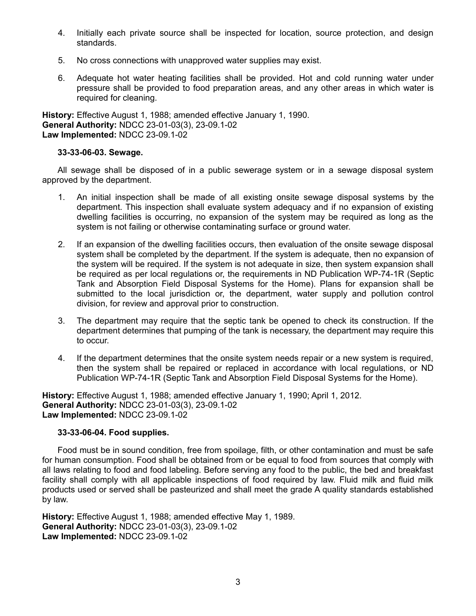- 4. Initially each private source shall be inspected for location, source protection, and design standards.
- 5. No cross connections with unapproved water supplies may exist.
- 6. Adequate hot water heating facilities shall be provided. Hot and cold running water under pressure shall be provided to food preparation areas, and any other areas in which water is required for cleaning.

**History:** Effective August 1, 1988; amended effective January 1, 1990. **General Authority:** NDCC 23-01-03(3), 23-09.1-02 **Law Implemented:** NDCC 23-09.1-02

# **33-33-06-03. Sewage.**

All sewage shall be disposed of in a public sewerage system or in a sewage disposal system approved by the department.

- 1. An initial inspection shall be made of all existing onsite sewage disposal systems by the department. This inspection shall evaluate system adequacy and if no expansion of existing dwelling facilities is occurring, no expansion of the system may be required as long as the system is not failing or otherwise contaminating surface or ground water.
- 2. If an expansion of the dwelling facilities occurs, then evaluation of the onsite sewage disposal system shall be completed by the department. If the system is adequate, then no expansion of the system will be required. If the system is not adequate in size, then system expansion shall be required as per local regulations or, the requirements in ND Publication WP-74-1R (Septic Tank and Absorption Field Disposal Systems for the Home). Plans for expansion shall be submitted to the local jurisdiction or, the department, water supply and pollution control division, for review and approval prior to construction.
- 3. The department may require that the septic tank be opened to check its construction. If the department determines that pumping of the tank is necessary, the department may require this to occur.
- 4. If the department determines that the onsite system needs repair or a new system is required, then the system shall be repaired or replaced in accordance with local regulations, or ND Publication WP-74-1R (Septic Tank and Absorption Field Disposal Systems for the Home).

**History:** Effective August 1, 1988; amended effective January 1, 1990; April 1, 2012. **General Authority:** NDCC 23-01-03(3), 23-09.1-02 **Law Implemented:** NDCC 23-09.1-02

# **33-33-06-04. Food supplies.**

Food must be in sound condition, free from spoilage, filth, or other contamination and must be safe for human consumption. Food shall be obtained from or be equal to food from sources that comply with all laws relating to food and food labeling. Before serving any food to the public, the bed and breakfast facility shall comply with all applicable inspections of food required by law. Fluid milk and fluid milk products used or served shall be pasteurized and shall meet the grade A quality standards established by law.

**History:** Effective August 1, 1988; amended effective May 1, 1989. **General Authority:** NDCC 23-01-03(3), 23-09.1-02 **Law Implemented:** NDCC 23-09.1-02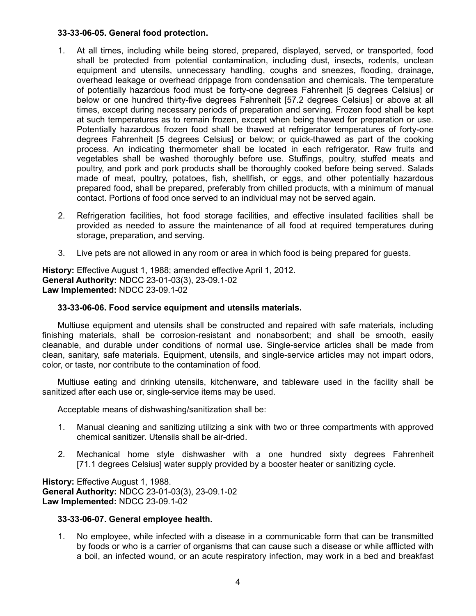### **33-33-06-05. General food protection.**

- 1. At all times, including while being stored, prepared, displayed, served, or transported, food shall be protected from potential contamination, including dust, insects, rodents, unclean equipment and utensils, unnecessary handling, coughs and sneezes, flooding, drainage, overhead leakage or overhead drippage from condensation and chemicals. The temperature of potentially hazardous food must be forty-one degrees Fahrenheit [5 degrees Celsius] or below or one hundred thirty-five degrees Fahrenheit [57.2 degrees Celsius] or above at all times, except during necessary periods of preparation and serving. Frozen food shall be kept at such temperatures as to remain frozen, except when being thawed for preparation or use. Potentially hazardous frozen food shall be thawed at refrigerator temperatures of forty-one degrees Fahrenheit [5 degrees Celsius] or below; or quick-thawed as part of the cooking process. An indicating thermometer shall be located in each refrigerator. Raw fruits and vegetables shall be washed thoroughly before use. Stuffings, poultry, stuffed meats and poultry, and pork and pork products shall be thoroughly cooked before being served. Salads made of meat, poultry, potatoes, fish, shellfish, or eggs, and other potentially hazardous prepared food, shall be prepared, preferably from chilled products, with a minimum of manual contact. Portions of food once served to an individual may not be served again.
- 2. Refrigeration facilities, hot food storage facilities, and effective insulated facilities shall be provided as needed to assure the maintenance of all food at required temperatures during storage, preparation, and serving.
- 3. Live pets are not allowed in any room or area in which food is being prepared for guests.

**History:** Effective August 1, 1988; amended effective April 1, 2012. **General Authority:** NDCC 23-01-03(3), 23-09.1-02 **Law Implemented:** NDCC 23-09.1-02

# **33-33-06-06. Food service equipment and utensils materials.**

Multiuse equipment and utensils shall be constructed and repaired with safe materials, including finishing materials, shall be corrosion-resistant and nonabsorbent; and shall be smooth, easily cleanable, and durable under conditions of normal use. Single-service articles shall be made from clean, sanitary, safe materials. Equipment, utensils, and single-service articles may not impart odors, color, or taste, nor contribute to the contamination of food.

Multiuse eating and drinking utensils, kitchenware, and tableware used in the facility shall be sanitized after each use or, single-service items may be used.

Acceptable means of dishwashing/sanitization shall be:

- 1. Manual cleaning and sanitizing utilizing a sink with two or three compartments with approved chemical sanitizer. Utensils shall be air-dried.
- 2. Mechanical home style dishwasher with a one hundred sixty degrees Fahrenheit [71.1 degrees Celsius] water supply provided by a booster heater or sanitizing cycle.

**History:** Effective August 1, 1988. **General Authority:** NDCC 23-01-03(3), 23-09.1-02 **Law Implemented:** NDCC 23-09.1-02

# **33-33-06-07. General employee health.**

1. No employee, while infected with a disease in a communicable form that can be transmitted by foods or who is a carrier of organisms that can cause such a disease or while afflicted with a boil, an infected wound, or an acute respiratory infection, may work in a bed and breakfast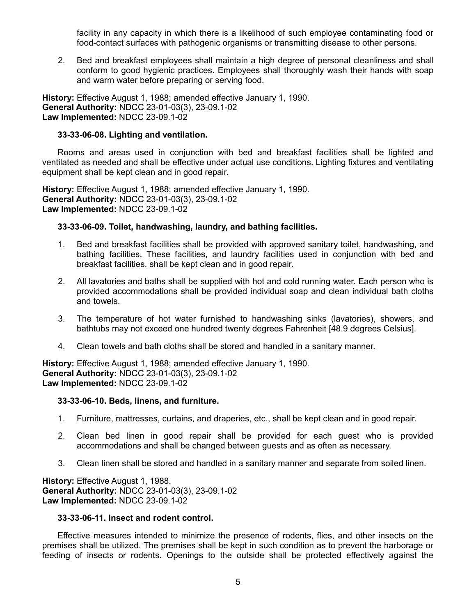facility in any capacity in which there is a likelihood of such employee contaminating food or food-contact surfaces with pathogenic organisms or transmitting disease to other persons.

2. Bed and breakfast employees shall maintain a high degree of personal cleanliness and shall conform to good hygienic practices. Employees shall thoroughly wash their hands with soap and warm water before preparing or serving food.

**History:** Effective August 1, 1988; amended effective January 1, 1990. **General Authority:** NDCC 23-01-03(3), 23-09.1-02 **Law Implemented:** NDCC 23-09.1-02

### **33-33-06-08. Lighting and ventilation.**

Rooms and areas used in conjunction with bed and breakfast facilities shall be lighted and ventilated as needed and shall be effective under actual use conditions. Lighting fixtures and ventilating equipment shall be kept clean and in good repair.

**History:** Effective August 1, 1988; amended effective January 1, 1990. **General Authority:** NDCC 23-01-03(3), 23-09.1-02 **Law Implemented:** NDCC 23-09.1-02

### **33-33-06-09. Toilet, handwashing, laundry, and bathing facilities.**

- 1. Bed and breakfast facilities shall be provided with approved sanitary toilet, handwashing, and bathing facilities. These facilities, and laundry facilities used in conjunction with bed and breakfast facilities, shall be kept clean and in good repair.
- 2. All lavatories and baths shall be supplied with hot and cold running water. Each person who is provided accommodations shall be provided individual soap and clean individual bath cloths and towels.
- 3. The temperature of hot water furnished to handwashing sinks (lavatories), showers, and bathtubs may not exceed one hundred twenty degrees Fahrenheit [48.9 degrees Celsius].
- 4. Clean towels and bath cloths shall be stored and handled in a sanitary manner.

**History:** Effective August 1, 1988; amended effective January 1, 1990. **General Authority:** NDCC 23-01-03(3), 23-09.1-02 **Law Implemented:** NDCC 23-09.1-02

#### **33-33-06-10. Beds, linens, and furniture.**

- 1. Furniture, mattresses, curtains, and draperies, etc., shall be kept clean and in good repair.
- 2. Clean bed linen in good repair shall be provided for each guest who is provided accommodations and shall be changed between guests and as often as necessary.
- 3. Clean linen shall be stored and handled in a sanitary manner and separate from soiled linen.

**History:** Effective August 1, 1988. **General Authority:** NDCC 23-01-03(3), 23-09.1-02 **Law Implemented:** NDCC 23-09.1-02

#### **33-33-06-11. Insect and rodent control.**

Effective measures intended to minimize the presence of rodents, flies, and other insects on the premises shall be utilized. The premises shall be kept in such condition as to prevent the harborage or feeding of insects or rodents. Openings to the outside shall be protected effectively against the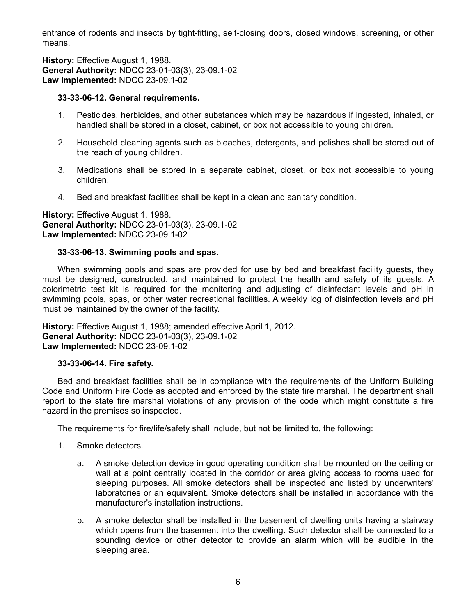entrance of rodents and insects by tight-fitting, self-closing doors, closed windows, screening, or other means.

**History:** Effective August 1, 1988. **General Authority:** NDCC 23-01-03(3), 23-09.1-02 **Law Implemented:** NDCC 23-09.1-02

### **33-33-06-12. General requirements.**

- 1. Pesticides, herbicides, and other substances which may be hazardous if ingested, inhaled, or handled shall be stored in a closet, cabinet, or box not accessible to young children.
- 2. Household cleaning agents such as bleaches, detergents, and polishes shall be stored out of the reach of young children.
- 3. Medications shall be stored in a separate cabinet, closet, or box not accessible to young children.
- 4. Bed and breakfast facilities shall be kept in a clean and sanitary condition.

**History:** Effective August 1, 1988. **General Authority:** NDCC 23-01-03(3), 23-09.1-02 **Law Implemented:** NDCC 23-09.1-02

#### **33-33-06-13. Swimming pools and spas.**

When swimming pools and spas are provided for use by bed and breakfast facility guests, they must be designed, constructed, and maintained to protect the health and safety of its guests. A colorimetric test kit is required for the monitoring and adjusting of disinfectant levels and pH in swimming pools, spas, or other water recreational facilities. A weekly log of disinfection levels and pH must be maintained by the owner of the facility.

**History:** Effective August 1, 1988; amended effective April 1, 2012. **General Authority:** NDCC 23-01-03(3), 23-09.1-02 **Law Implemented:** NDCC 23-09.1-02

# **33-33-06-14. Fire safety.**

Bed and breakfast facilities shall be in compliance with the requirements of the Uniform Building Code and Uniform Fire Code as adopted and enforced by the state fire marshal. The department shall report to the state fire marshal violations of any provision of the code which might constitute a fire hazard in the premises so inspected.

The requirements for fire/life/safety shall include, but not be limited to, the following:

- 1. Smoke detectors.
	- a. A smoke detection device in good operating condition shall be mounted on the ceiling or wall at a point centrally located in the corridor or area giving access to rooms used for sleeping purposes. All smoke detectors shall be inspected and listed by underwriters' laboratories or an equivalent. Smoke detectors shall be installed in accordance with the manufacturer's installation instructions.
	- b. A smoke detector shall be installed in the basement of dwelling units having a stairway which opens from the basement into the dwelling. Such detector shall be connected to a sounding device or other detector to provide an alarm which will be audible in the sleeping area.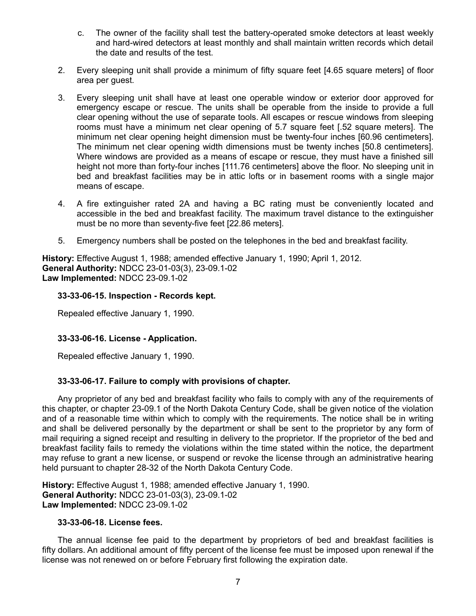- c. The owner of the facility shall test the battery-operated smoke detectors at least weekly and hard-wired detectors at least monthly and shall maintain written records which detail the date and results of the test.
- 2. Every sleeping unit shall provide a minimum of fifty square feet [4.65 square meters] of floor area per guest.
- 3. Every sleeping unit shall have at least one operable window or exterior door approved for emergency escape or rescue. The units shall be operable from the inside to provide a full clear opening without the use of separate tools. All escapes or rescue windows from sleeping rooms must have a minimum net clear opening of 5.7 square feet [.52 square meters]. The minimum net clear opening height dimension must be twenty-four inches [60.96 centimeters]. The minimum net clear opening width dimensions must be twenty inches [50.8 centimeters]. Where windows are provided as a means of escape or rescue, they must have a finished sill height not more than forty-four inches [111.76 centimeters] above the floor. No sleeping unit in bed and breakfast facilities may be in attic lofts or in basement rooms with a single major means of escape.
- 4. A fire extinguisher rated 2A and having a BC rating must be conveniently located and accessible in the bed and breakfast facility. The maximum travel distance to the extinguisher must be no more than seventy-five feet [22.86 meters].
- 5. Emergency numbers shall be posted on the telephones in the bed and breakfast facility.

**History:** Effective August 1, 1988; amended effective January 1, 1990; April 1, 2012. **General Authority:** NDCC 23-01-03(3), 23-09.1-02 **Law Implemented:** NDCC 23-09.1-02

### **33-33-06-15. Inspection - Records kept.**

Repealed effective January 1, 1990.

# **33-33-06-16. License - Application.**

Repealed effective January 1, 1990.

# **33-33-06-17. Failure to comply with provisions of chapter.**

Any proprietor of any bed and breakfast facility who fails to comply with any of the requirements of this chapter, or chapter 23-09.1 of the North Dakota Century Code, shall be given notice of the violation and of a reasonable time within which to comply with the requirements. The notice shall be in writing and shall be delivered personally by the department or shall be sent to the proprietor by any form of mail requiring a signed receipt and resulting in delivery to the proprietor. If the proprietor of the bed and breakfast facility fails to remedy the violations within the time stated within the notice, the department may refuse to grant a new license, or suspend or revoke the license through an administrative hearing held pursuant to chapter 28-32 of the North Dakota Century Code.

**History:** Effective August 1, 1988; amended effective January 1, 1990. **General Authority:** NDCC 23-01-03(3), 23-09.1-02 **Law Implemented:** NDCC 23-09.1-02

# **33-33-06-18. License fees.**

The annual license fee paid to the department by proprietors of bed and breakfast facilities is fifty dollars. An additional amount of fifty percent of the license fee must be imposed upon renewal if the license was not renewed on or before February first following the expiration date.